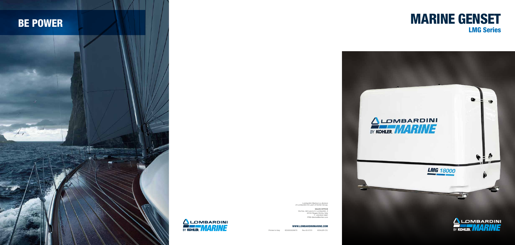#### WWW.LOMBARDINIMARINE.COM

Printed in Italy ED0053029670 Rev.03 07/21 KOHLER CO.

Lombardini Marine is a division of Lombardini Srl, part of Kohler Group.

SALES OFFICE Via Cav. del Lavoro A. Lombardini, 2 42124 Reggio Emilia, Italy T. +39 0522 3891 ITRE-Marine@kohler.com







# LMG Series

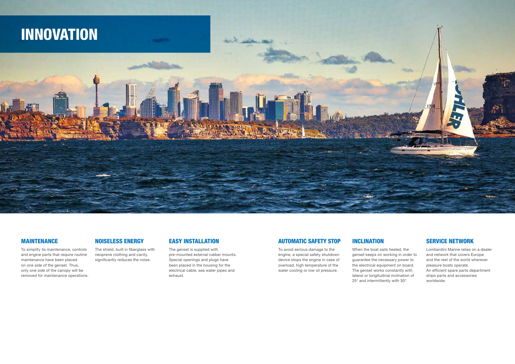#### MAINTENANCE

To simplify its maintenance, controls and engine parts that require routine maintenance have been placed on one side of the genset. Thus, only one side of the canopy will be removed for maintenance operations.

### NOISELESS ENERGY

The shield, built in fiberglass with neoprene clothing and cavity, significantly reduces the noise.

#### EASY INSTALLATION

The genset is supplied with pre-mounted external rubber mounts. Special openings and plugs have been placed in the housing for the electrical cable, sea water pipes and exhaust.



### AUTOMATIC SAFETY STOP

To avoid serious damage to the engine, a special safety shutdown device stops the engine in case of overload, high temperature of the water cooling or low oil pressure.

### INCLINATION

When the boat sails heeled, the

genset keeps on working in order to guarantee the necessary power to the electrical equipment on board. The genset works constantly with lateral or longitudinal inclination of 25° and intermittently with 30°.

#### SERVICE NETWORK

Lombardini Marine relies on a dealer and network that covers Europe and the rest of the world wherever pleasure boats operate. An efficient spare parts department ships parts and accessories worldwide.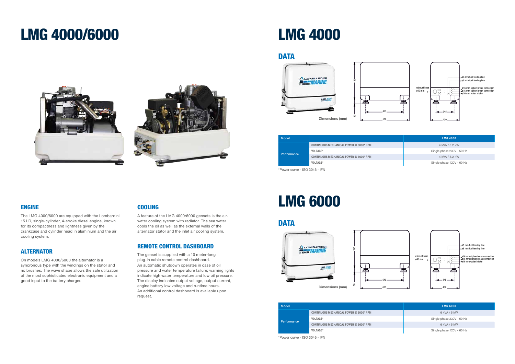### ENGINE

The LMG 4000/6000 are equipped with the Lombardini 15 LD, single-cylinder, 4-stroke diesel engine, known for its compactness and lightness given by the crankcase and cylinder head in aluminium and the air cooling system.

### ALTERNATOR

On models LMG 4000/6000 the alternator is a syncronous type with the windings on the stator and no brushes. The wave shape allows the safe utilization of the most sophisticated electronic equipment and a good input to the battery charger.

### **COOLING**

A feature of the LMG 4000/6000 gensets is the airwater cooling system with radiator. The sea water cools the oil as well as the external walls of the alternator stator and the inlet air cooling system.

### REMOTE CONTROL DASHBOARD

The genset is supplied with a 10 meter-long plug-in cable remote control dashboard. An automatic shutdown operates in case of oil pressure and water temperature failure; warning lights indicate high water temperature and low oil pressure. The display indicates output voltage, output current, engine battery low voltage and runtime hours. An additional control dashboard is available upon request.

### LMG 4000/6000 LMG 4000

### **DATA**







| <b>Model</b>                            | <b>LMG 4000</b>           |
|-----------------------------------------|---------------------------|
| CONTINUOUS MECHANICAL POWER @ 3000* RPM | 4 kVA / 3.2 kW            |
| VOLTAGE*<br>Performance                 | Single phase 230V - 50 Hz |
| CONTINUOUS MECHANICAL POWER @ 3600* RPM | 4 kVA / 3.2 kW            |
| VOLTAGE*                                | Single phase 120V - 60 Hz |

\*Power curve - ISO 3046 - IFN

## LMG 6000



|                                         | <b>LMG 6000</b>           |
|-----------------------------------------|---------------------------|
| CONTINUOUS MECHANICAL POWER @ 3000* RPM | 6 kVA / 5 kW              |
| VOLTAGE*                                | Single phase 230V - 50 Hz |
| CONTINUOUS MECHANICAL POWER @ 3600* RPM | 6 kVA / 5 kW              |
| VOLTAGE*                                | Single phase 120V - 60 Hz |



### DATA

\*Power curve - ISO 3046 - IFN